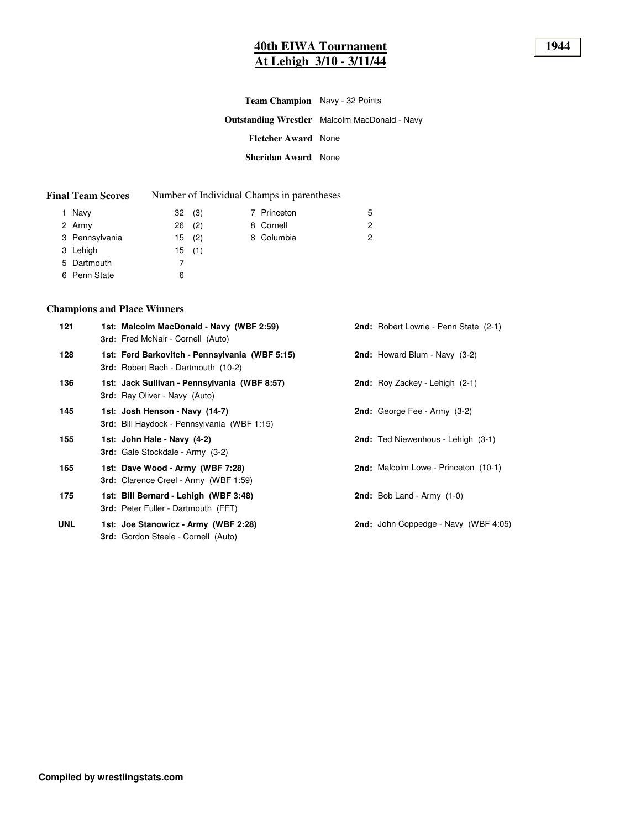# **40th EIWA Tournament 1944 At Lehigh 3/10 - 3/11/44**

| <b>Team Champion</b> Navy - 32 Points |                                                      |
|---------------------------------------|------------------------------------------------------|
|                                       | <b>Outstanding Wrestler</b> Malcolm MacDonald - Navy |
| <b>Fletcher Award None</b>            |                                                      |
| <b>Sheridan Award</b> None            |                                                      |

| <b>Final Team Scores</b> |  | Number of Individual Champs in parentheses |
|--------------------------|--|--------------------------------------------|
|--------------------------|--|--------------------------------------------|

| 1 Navy         | 32(3)    |  | 7 Princeton | 5 |
|----------------|----------|--|-------------|---|
| 2 Army         | $26$ (2) |  | 8 Cornell   | 2 |
| 3 Pennsylvania | 15(2)    |  | 8 Columbia  | 2 |
| 3 Lehigh       | 15(1)    |  |             |   |
| 5 Dartmouth    |          |  |             |   |
| 6 Penn State   | 6        |  |             |   |

## **Champions and Place Winners**

| 121        | 1st: Malcolm MacDonald - Navy (WBF 2:59)<br><b>3rd:</b> Fred McNair - Cornell (Auto)         | 2nd: Robert Lowrie - Penn State (2-1)   |
|------------|----------------------------------------------------------------------------------------------|-----------------------------------------|
| 128        | 1st: Ferd Barkovitch - Pennsylvania (WBF 5:15)<br><b>3rd:</b> Robert Bach - Dartmouth (10-2) | <b>2nd:</b> Howard Blum - Navy $(3-2)$  |
| 136        | 1st: Jack Sullivan - Pennsylvania (WBF 8:57)<br><b>3rd:</b> Ray Oliver - Navy (Auto)         | <b>2nd:</b> Roy Zackey - Lehigh $(2-1)$ |
| 145        | 1st: Josh Henson - Navy (14-7)<br><b>3rd:</b> Bill Haydock - Pennsylvania (WBF 1:15)         | <b>2nd:</b> George Fee - Army $(3-2)$   |
| 155        | 1st: John Hale - Navy (4-2)<br><b>3rd:</b> Gale Stockdale - Army (3-2)                       | 2nd: Ted Niewenhous - Lehigh (3-1)      |
| 165        | 1st: Dave Wood - Army (WBF 7:28)<br><b>3rd:</b> Clarence Creel - Army (WBF 1:59)             | 2nd: Malcolm Lowe - Princeton (10-1)    |
| 175        | 1st: Bill Bernard - Lehigh (WBF 3:48)<br>3rd: Peter Fuller - Dartmouth (FFT)                 | <b>2nd:</b> Bob Land - $Army (1-0)$     |
| <b>UNL</b> | 1st: Joe Stanowicz - Army (WBF 2:28)<br><b>3rd:</b> Gordon Steele - Cornell (Auto)           | 2nd: John Coppedge - Navy (WBF 4:05)    |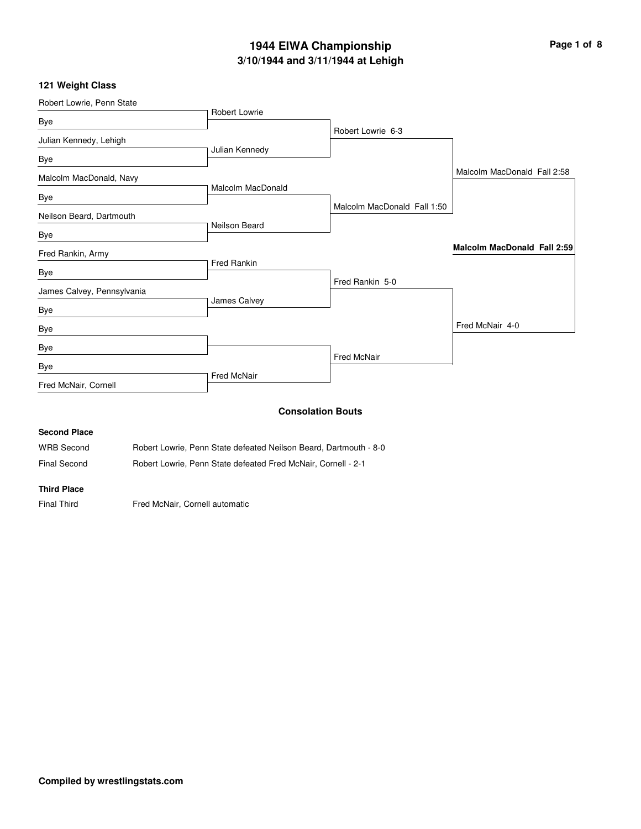# **3/10/1944 and 3/11/1944 at Lehigh 1944 EIWA Championship Page 1 of 8**

#### **121 Weight Class**

| Robert Lowrie, Penn State  |                                                                   |                             |                                    |  |
|----------------------------|-------------------------------------------------------------------|-----------------------------|------------------------------------|--|
| Bye                        | Robert Lowrie                                                     |                             |                                    |  |
|                            |                                                                   | Robert Lowrie 6-3           |                                    |  |
| Julian Kennedy, Lehigh     | Julian Kennedy                                                    |                             |                                    |  |
| Bye                        |                                                                   |                             |                                    |  |
| Malcolm MacDonald, Navy    |                                                                   |                             | Malcolm MacDonald Fall 2:58        |  |
| Bye                        | <b>Malcolm MacDonald</b>                                          |                             |                                    |  |
|                            |                                                                   | Malcolm MacDonald Fall 1:50 |                                    |  |
| Neilson Beard, Dartmouth   | Neilson Beard                                                     |                             |                                    |  |
| Bye                        |                                                                   |                             |                                    |  |
| Fred Rankin, Army          |                                                                   |                             | <b>Malcolm MacDonald Fall 2:59</b> |  |
| Bye                        | <b>Fred Rankin</b>                                                |                             |                                    |  |
|                            |                                                                   | Fred Rankin 5-0             |                                    |  |
| James Calvey, Pennsylvania | James Calvey                                                      |                             |                                    |  |
| Bye                        |                                                                   |                             |                                    |  |
| Bye                        |                                                                   |                             | Fred McNair 4-0                    |  |
| Bye                        |                                                                   |                             |                                    |  |
|                            |                                                                   | <b>Fred McNair</b>          |                                    |  |
| Bye                        | <b>Fred McNair</b>                                                |                             |                                    |  |
| Fred McNair, Cornell       |                                                                   |                             |                                    |  |
|                            |                                                                   | <b>Consolation Bouts</b>    |                                    |  |
|                            |                                                                   |                             |                                    |  |
| <b>Second Place</b>        |                                                                   |                             |                                    |  |
| <b>WRB</b> Second          | Robert Lowrie, Penn State defeated Neilson Beard, Dartmouth - 8-0 |                             |                                    |  |
| <b>Final Second</b>        | Robert Lowrie, Penn State defeated Fred McNair, Cornell - 2-1     |                             |                                    |  |

## **Third Place**

Final Third **Fred McNair, Cornell automatic**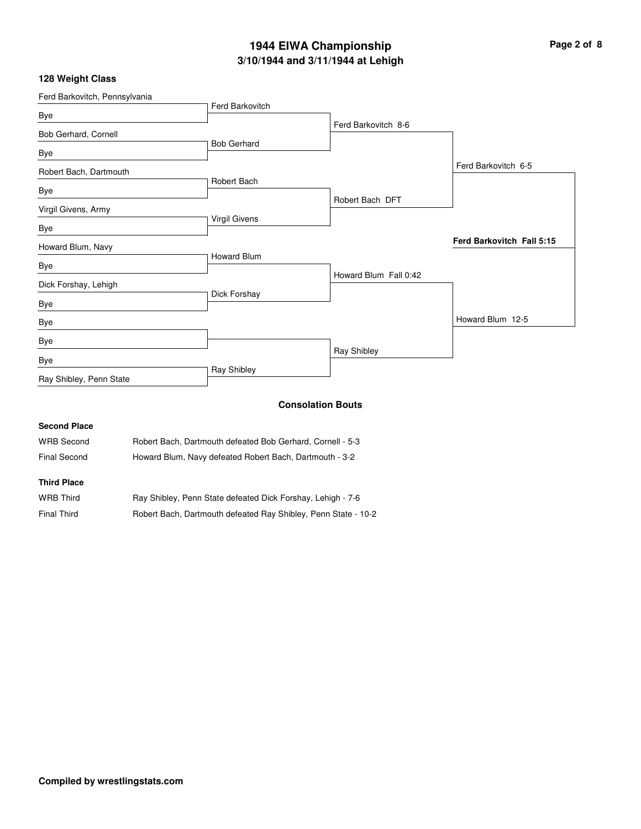# **3/10/1944 and 3/11/1944 at Lehigh 1944 EIWA Championship Page 2 of 8**

## **128 Weight Class**

| Ferd Barkovitch, Pennsylvania |                    |                          |                           |
|-------------------------------|--------------------|--------------------------|---------------------------|
| Bye                           | Ferd Barkovitch    |                          |                           |
| Bob Gerhard, Cornell          |                    | Ferd Barkovitch 8-6      |                           |
| Bye                           | <b>Bob Gerhard</b> |                          |                           |
| Robert Bach, Dartmouth        |                    |                          | Ferd Barkovitch 6-5       |
| Bye                           | Robert Bach        |                          |                           |
| Virgil Givens, Army           |                    | Robert Bach DFT          |                           |
| Bye                           | Virgil Givens      |                          |                           |
| Howard Blum, Navy             |                    |                          | Ferd Barkovitch Fall 5:15 |
| Bye                           | <b>Howard Blum</b> |                          |                           |
| Dick Forshay, Lehigh          |                    | Howard Blum Fall 0:42    |                           |
| Bye                           | Dick Forshay       |                          |                           |
| Bye                           |                    |                          | Howard Blum 12-5          |
| Bye                           |                    |                          |                           |
| Bye                           |                    | Ray Shibley              |                           |
| Ray Shibley, Penn State       | Ray Shibley        |                          |                           |
|                               |                    | <b>Consolation Bouts</b> |                           |

#### **Second Place**

| <b>WRB Second</b> | Robert Bach, Dartmouth defeated Bob Gerhard, Cornell - 5-3 |
|-------------------|------------------------------------------------------------|
| Final Second      | Howard Blum, Navy defeated Robert Bach, Dartmouth - 3-2    |

## **Third Place**

| <b>WRB Third</b>   | Ray Shibley, Penn State defeated Dick Forshay, Lehigh - 7-6    |
|--------------------|----------------------------------------------------------------|
| <b>Final Third</b> | Robert Bach, Dartmouth defeated Ray Shibley, Penn State - 10-2 |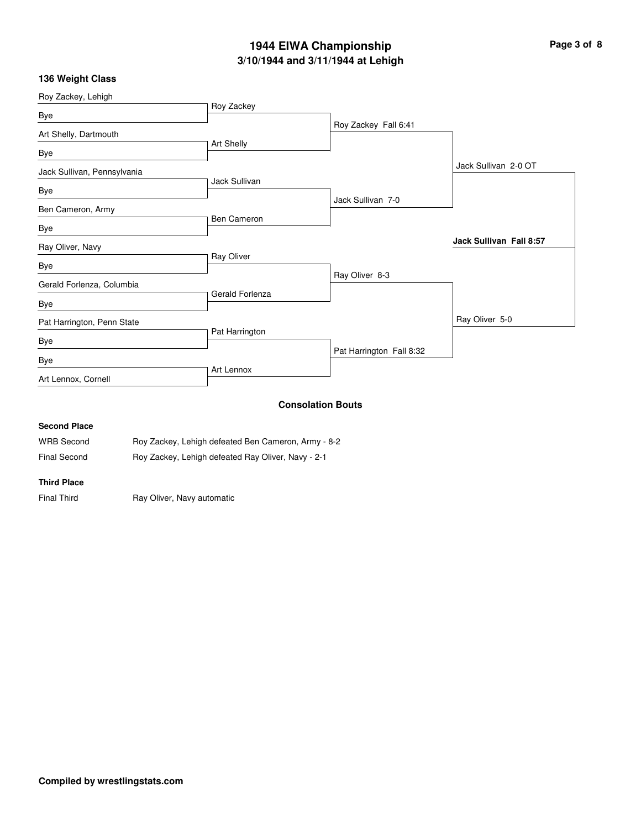# **3/10/1944 and 3/11/1944 at Lehigh 1944 EIWA Championship Page 3 of 8**

## **136 Weight Class**

| Roy Zackey Fall 6:41     |
|--------------------------|
|                          |
|                          |
| Jack Sullivan 2-0 OT     |
|                          |
| Jack Sullivan 7-0        |
|                          |
|                          |
| Jack Sullivan Fall 8:57  |
|                          |
| Ray Oliver 8-3           |
|                          |
|                          |
| Ray Oliver 5-0           |
|                          |
| Pat Harrington Fall 8:32 |
|                          |
|                          |
|                          |
| <b>Consolation Bouts</b> |
|                          |

#### **Second Place**

| <b>WRB Second</b>   | Roy Zackey, Lehigh defeated Ben Cameron, Army - 8-2 |
|---------------------|-----------------------------------------------------|
| <b>Final Second</b> | Roy Zackey, Lehigh defeated Ray Oliver, Navy - 2-1  |

#### **Third Place**

Final Third **Ray Oliver, Navy automatic**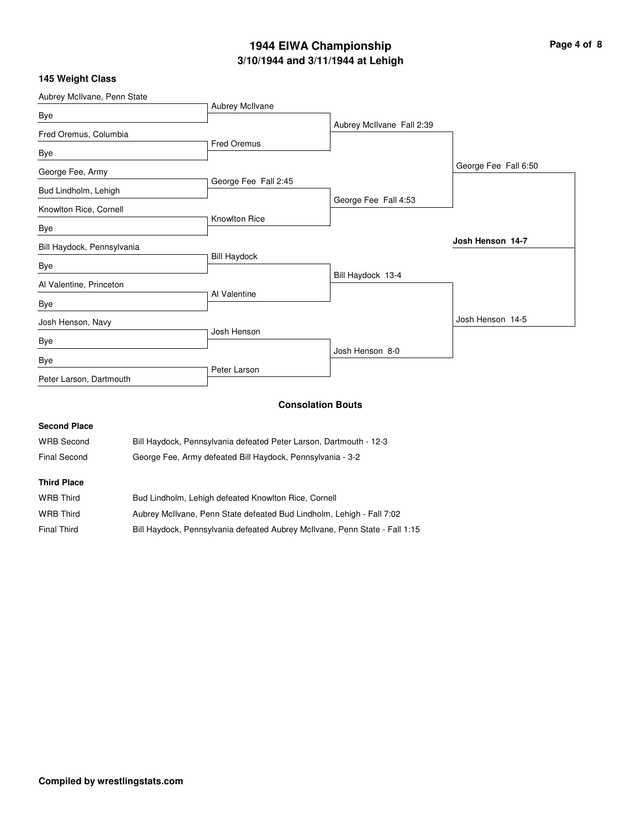# **3/10/1944 and 3/11/1944 at Lehigh 1944 EIWA Championship Page 4 of 8**

|  |  |  | 145 Weight Class |  |  |
|--|--|--|------------------|--|--|
|--|--|--|------------------|--|--|

| Aubrey McIlvane, Penn State |                      |                           |                      |
|-----------------------------|----------------------|---------------------------|----------------------|
| Bye                         | Aubrey McIlvane      |                           |                      |
| Fred Oremus, Columbia       |                      | Aubrey McIlvane Fall 2:39 |                      |
| Bye                         | Fred Oremus          |                           |                      |
| George Fee, Army            |                      |                           | George Fee Fall 6:50 |
| Bud Lindholm, Lehigh        | George Fee Fall 2:45 |                           |                      |
| Knowlton Rice, Cornell      |                      | George Fee Fall 4:53      |                      |
| Bye                         | <b>Knowlton Rice</b> |                           |                      |
| Bill Haydock, Pennsylvania  |                      |                           | Josh Henson 14-7     |
| Bye                         | <b>Bill Haydock</b>  |                           |                      |
| Al Valentine, Princeton     |                      | Bill Haydock 13-4         |                      |
| Bye                         | Al Valentine         |                           |                      |
| Josh Henson, Navy           |                      |                           | Josh Henson 14-5     |
| Bye                         | Josh Henson          |                           |                      |
| Bye                         |                      | Josh Henson 8-0           |                      |
| Peter Larson, Dartmouth     | Peter Larson         |                           |                      |
|                             |                      | <b>Consolation Bouts</b>  |                      |

| <b>Second Place</b> |                                                                       |
|---------------------|-----------------------------------------------------------------------|
| <b>WRB Second</b>   | Bill Haydock, Pennsylvania defeated Peter Larson, Dartmouth - 12-3    |
| <b>Final Second</b> | George Fee, Army defeated Bill Haydock, Pennsylvania - 3-2            |
| <b>Third Place</b>  |                                                                       |
| <b>WRB Third</b>    | Bud Lindholm, Lehigh defeated Knowlton Rice, Cornell                  |
| <b>WRB Third</b>    | Aubrey McIlvane, Penn State defeated Bud Lindholm, Lehigh - Fall 7:02 |

| Final Third |  |  |  | Bill Haydock, Pennsylvania defeated Aubrey McIlvane, Penn State - Fall 1:15 |
|-------------|--|--|--|-----------------------------------------------------------------------------|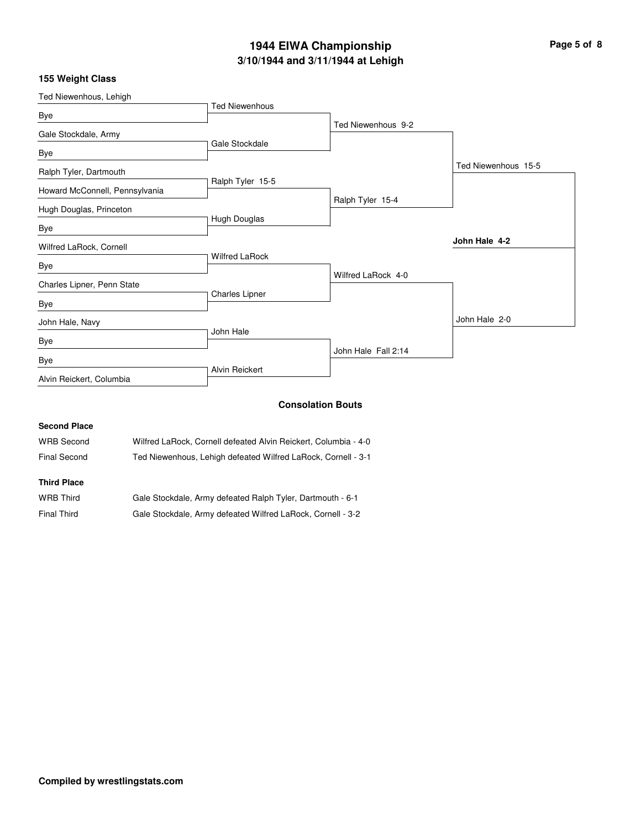# **3/10/1944 and 3/11/1944 at Lehigh 1944 EIWA Championship Page 5 of 8**

## **155 Weight Class**

| <b>Ted Niewenhous</b> |                                                                                                                              |                     |
|-----------------------|------------------------------------------------------------------------------------------------------------------------------|---------------------|
|                       | Ted Niewenhous 9-2                                                                                                           |                     |
|                       |                                                                                                                              |                     |
|                       |                                                                                                                              |                     |
|                       |                                                                                                                              | Ted Niewenhous 15-5 |
|                       |                                                                                                                              |                     |
|                       | Ralph Tyler 15-4                                                                                                             |                     |
|                       |                                                                                                                              |                     |
|                       |                                                                                                                              |                     |
|                       |                                                                                                                              | John Hale 4-2       |
|                       |                                                                                                                              |                     |
|                       | Wilfred LaRock 4-0                                                                                                           |                     |
|                       |                                                                                                                              |                     |
|                       |                                                                                                                              |                     |
|                       |                                                                                                                              | John Hale 2-0       |
|                       |                                                                                                                              |                     |
|                       | John Hale Fall 2:14                                                                                                          |                     |
|                       |                                                                                                                              |                     |
|                       |                                                                                                                              |                     |
|                       |                                                                                                                              |                     |
|                       | Gale Stockdale<br>Ralph Tyler 15-5<br>Hugh Douglas<br><b>Wilfred LaRock</b><br>Charles Lipner<br>John Hale<br>Alvin Reickert | .                   |

#### **Consolation Bouts**

| <b>Second Place</b> |                                                                 |
|---------------------|-----------------------------------------------------------------|
| <b>WRB Second</b>   | Wilfred LaRock, Cornell defeated Alvin Reickert, Columbia - 4-0 |
| Final Second        | Ted Niewenhous, Lehigh defeated Wilfred LaRock, Cornell - 3-1   |
| <b>Third Place</b>  |                                                                 |
| <b>WRB Third</b>    | Gale Stockdale, Army defeated Ralph Tyler, Dartmouth - 6-1      |

| <b>Final Third</b> | Gale Stockdale, Army defeated Wilfred LaRock, Cornell - 3-2 |  |  |  |
|--------------------|-------------------------------------------------------------|--|--|--|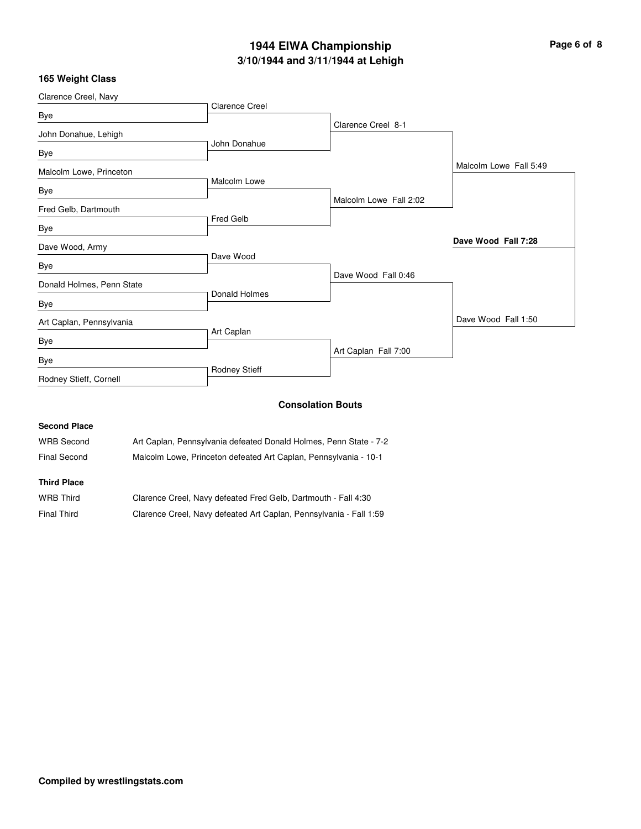# **3/10/1944 and 3/11/1944 at Lehigh 1944 EIWA Championship Page 6 of 8**

|  |  | 165 Weight Class |  |  |
|--|--|------------------|--|--|
|--|--|------------------|--|--|

| Clarence Creel, Navy      |                       |                          |                        |
|---------------------------|-----------------------|--------------------------|------------------------|
| Bye                       | <b>Clarence Creel</b> |                          |                        |
| John Donahue, Lehigh      |                       | Clarence Creel 8-1       |                        |
| Bye                       | John Donahue          |                          |                        |
| Malcolm Lowe, Princeton   |                       |                          | Malcolm Lowe Fall 5:49 |
| Bye                       | Malcolm Lowe          |                          |                        |
| Fred Gelb, Dartmouth      |                       | Malcolm Lowe Fall 2:02   |                        |
| Bye                       | <b>Fred Gelb</b>      |                          |                        |
| Dave Wood, Army           |                       |                          | Dave Wood Fall 7:28    |
| Bye                       | Dave Wood             |                          |                        |
| Donald Holmes, Penn State |                       | Dave Wood Fall 0:46      |                        |
| Bye                       | Donald Holmes         |                          |                        |
| Art Caplan, Pennsylvania  |                       |                          | Dave Wood Fall 1:50    |
| Bye                       | Art Caplan            |                          |                        |
| Bye                       |                       | Art Caplan Fall 7:00     |                        |
| Rodney Stieff, Cornell    | Rodney Stieff         |                          |                        |
|                           |                       | <b>Consolation Bouts</b> |                        |

#### **Consolation Bouts**

| <b>Second Place</b> |                                                                   |
|---------------------|-------------------------------------------------------------------|
| WRB Second          | Art Caplan, Pennsylvania defeated Donald Holmes, Penn State - 7-2 |
| Final Second        | Malcolm Lowe, Princeton defeated Art Caplan, Pennsylvania - 10-1  |
| <b>Third Place</b>  |                                                                   |
| $MDBB = 1.14$       |                                                                   |

| WRB Third          | Clarence Creel, Navy defeated Fred Gelb, Dartmouth - Fall 4:30     |
|--------------------|--------------------------------------------------------------------|
| <b>Final Third</b> | Clarence Creel, Navy defeated Art Caplan, Pennsylvania - Fall 1:59 |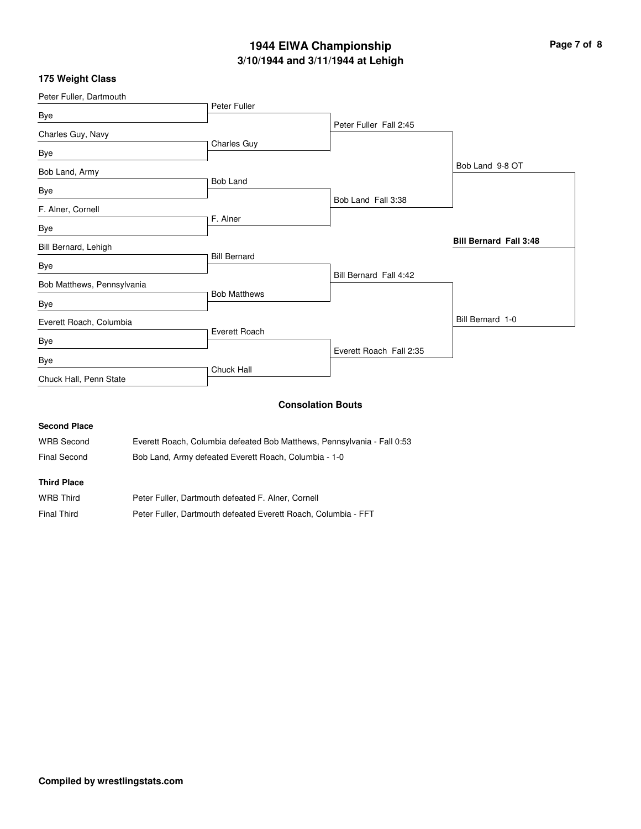# **3/10/1944 and 3/11/1944 at Lehigh 1944 EIWA Championship Page 7 of 8**

## **175 Weight Class**

| Peter Fuller, Dartmouth    |                     |                         |                               |
|----------------------------|---------------------|-------------------------|-------------------------------|
| Bye                        | Peter Fuller        |                         |                               |
|                            |                     | Peter Fuller Fall 2:45  |                               |
| Charles Guy, Navy          |                     |                         |                               |
| Bye                        | Charles Guy         |                         |                               |
| Bob Land, Army             |                     |                         | Bob Land 9-8 OT               |
|                            | <b>Bob Land</b>     |                         |                               |
| Bye                        |                     | Bob Land Fall 3:38      |                               |
| F. Alner, Cornell          |                     |                         |                               |
| Bye                        | F. Alner            |                         |                               |
| Bill Bernard, Lehigh       |                     |                         | <b>Bill Bernard Fall 3:48</b> |
|                            | <b>Bill Bernard</b> |                         |                               |
| Bye                        |                     | Bill Bernard Fall 4:42  |                               |
| Bob Matthews, Pennsylvania |                     |                         |                               |
| Bye                        | <b>Bob Matthews</b> |                         |                               |
| Everett Roach, Columbia    |                     |                         | Bill Bernard 1-0              |
|                            | Everett Roach       |                         |                               |
| Bye                        |                     | Everett Roach Fall 2:35 |                               |
| Bye                        |                     |                         |                               |
| Chuck Hall, Penn State     | Chuck Hall          |                         |                               |
|                            |                     |                         |                               |

## **Consolation Bouts**

#### **Second Place**

| <b>WRB Second</b>  | Everett Roach, Columbia defeated Bob Matthews, Pennsylvania - Fall 0:53 |
|--------------------|-------------------------------------------------------------------------|
| Final Second       | Bob Land, Army defeated Everett Roach, Columbia - 1-0                   |
| <b>Third Place</b> |                                                                         |

| <b>WRB Third</b> | Peter Fuller, Dartmouth defeated F. Alner, Cornell             |
|------------------|----------------------------------------------------------------|
| Final Third      | Peter Fuller, Dartmouth defeated Everett Roach, Columbia - FFT |